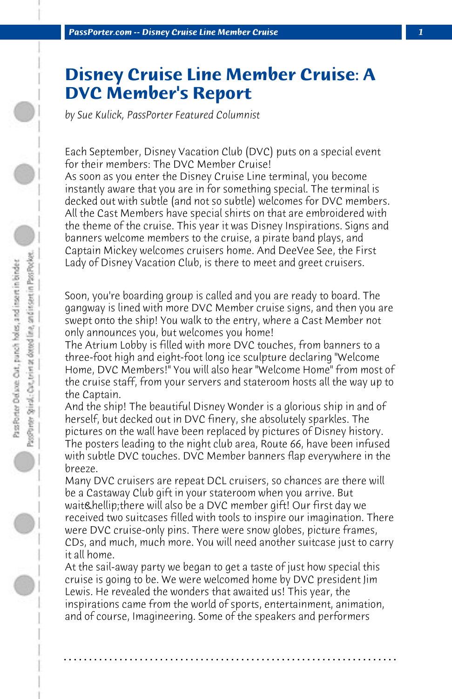## **Disney Cruise Line Member Cruise: A DVC Member's Report**

*by Sue Kulick, PassPorter Featured Columnist*

Each September, Disney Vacation Club (DVC) puts on a special event for their members: The DVC Member Cruise! As soon as you enter the Disney Cruise Line terminal, you become instantly aware that you are in for something special. The terminal is decked out with subtle (and not so subtle) welcomes for DVC members. All the Cast Members have special shirts on that are embroidered with the theme of the cruise. This year it was Disney Inspirations. Signs and banners welcome members to the cruise, a pirate band plays, and Captain Mickey welcomes cruisers home. And DeeVee See, the First Lady of Disney Vacation Club, is there to meet and greet cruisers.

Soon, you're boarding group is called and you are ready to board. The gangway is lined with more DVC Member cruise signs, and then you are swept onto the ship! You walk to the entry, where a Cast Member not only announces you, but welcomes you home!

The Atrium Lobby is filled with more DVC touches, from banners to a three-foot high and eight-foot long ice sculpture declaring "Welcome Home, DVC Members!" You will also hear "Welcome Home" from most of the cruise staff, from your servers and stateroom hosts all the way up to the Captain.

And the ship! The beautiful Disney Wonder is a glorious ship in and of herself, but decked out in DVC finery, she absolutely sparkles. The pictures on the wall have been replaced by pictures of Disney history. The posters leading to the night club area, Route 66, have been infused with subtle DVC touches. DVC Member banners flap everywhere in the breeze.

Many DVC cruisers are repeat DCL cruisers, so chances are there will be a Castaway Club gift in your stateroom when you arrive. But wait & hellip; there will also be a DVC member gift! Our first day we received two suitcases filled with tools to inspire our imagination. There were DVC cruise-only pins. There were snow globes, picture frames, CDs, and much, much more. You will need another suitcase just to carry it all home.

At the sail-away party we began to get a taste of just how special this cruise is going to be. We were welcomed home by DVC president Jim Lewis. He revealed the wonders that awaited us! This year, the inspirations came from the world of sports, entertainment, animation, and of course, Imagineering. Some of the speakers and performers

**. . . . . . . . . . . . . . . . . . . . . . . . . . . . . . . . . . . . . . . . . . . . . . . . . . . . . . . . . . . . . . . . . .**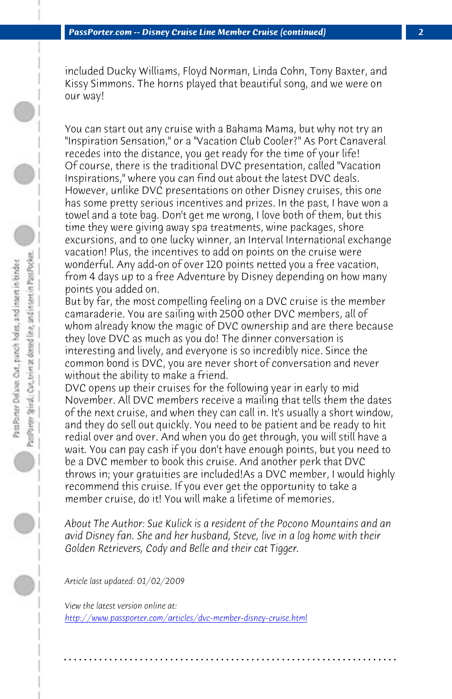included Ducky Williams, Floyd Norman, Linda Cohn, Tony Baxter, and Kissy Simmons. The horns played that beautiful song, and we were on our way!

You can start out any cruise with a Bahama Mama, but why not try an "Inspiration Sensation," or a "Vacation Club Cooler?" As Port Canaveral recedes into the distance, you get ready for the time of your life! Of course, there is the traditional DVC presentation, called "Vacation Inspirations," where you can find out about the latest DVC deals. However, unlike DVC presentations on other Disney cruises, this one has some pretty serious incentives and prizes. In the past, I have won a towel and a tote bag. Don't get me wrong, I love both of them, but this time they were giving away spa treatments, wine packages, shore excursions, and to one lucky winner, an Interval International exchange vacation! Plus, the incentives to add on points on the cruise were wonderful. Any add-on of over 120 points netted you a free vacation, from 4 days up to a free Adventure by Disney depending on how many points you added on.

But by far, the most compelling feeling on a DVC cruise is the member camaraderie. You are sailing with 2500 other DVC members, all of whom already know the magic of DVC ownership and are there because they love DVC as much as you do! The dinner conversation is interesting and lively, and everyone is so incredibly nice. Since the common bond is DVC, you are never short of conversation and never without the ability to make a friend.

DVC opens up their cruises for the following year in early to mid November. All DVC members receive a mailing that tells them the dates [of the next cruise, and when they can call in. It's usua](http://www.passporter.com/articles/dvc-member-disney-cruise.php)lly a short window, and they do sell out quickly. You need to be patient and be ready to hit redial over and over. And when you do get through, you will still have a wait. You can pay cash if you don't have enough points, but you need to be a DVC member to book this cruise. And another perk that DVC throws in; your gratuities are included!As a DVC member, I would highly recommend this cruise. If you ever get the opportunity to take a member cruise, do it! You will make a lifetime of memories.

*About The Author: Sue Kulick is a resident of the Pocono Mountains and an avid Disney fan. She and her husband, Steve, live in a log home with their Golden Retrievers, Cody and Belle and their cat Tigger.*

**. . . . . . . . . . . . . . . . . . . . . . . . . . . . . . . . . . . . . . . . . . . . . . . . . . . . . . . . . . . . . . . . . .**

*Article last updated: 01/02/2009*

*View the latest version online at: http://www.passporter.com/articles/dvc-member-disney-cruise.html*